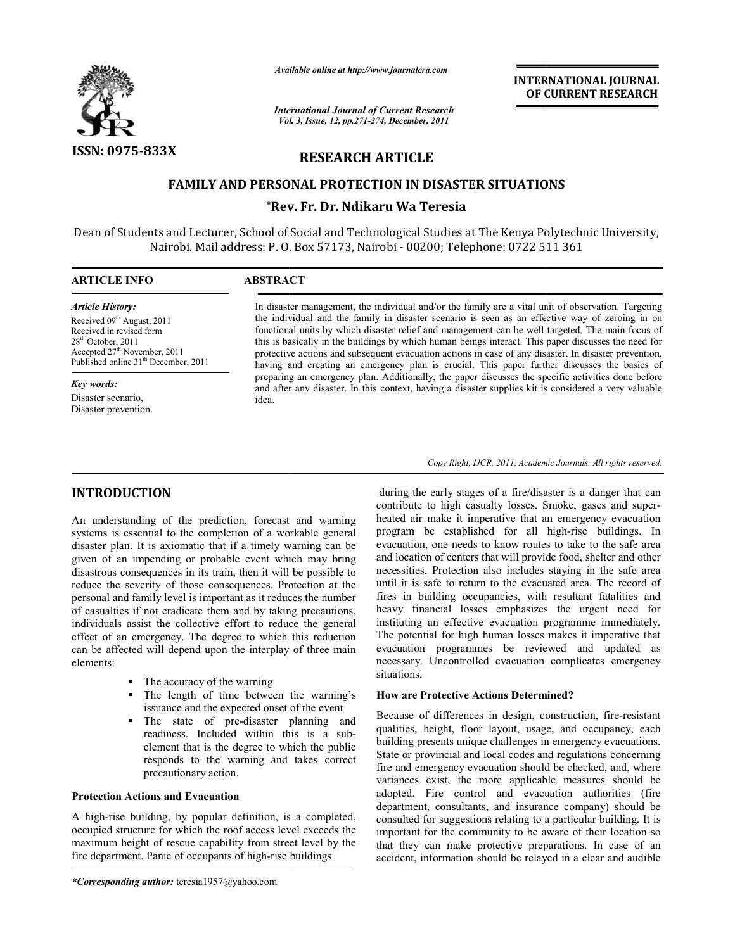

*Available online at http://www.journalcra.com*

*International Journal of Current Research Vol. 3, Issue, ternational 12, pp.271-274, December, 2011*

**INTERNATIONAL INTERNATIONAL JOURNAL OF CURRENT RESEARCH OF** 

# **RESEARCH ARTICLE**

# **FAMILY AND PERSONAL PROTECTION IN DISASTER SITUATION DISASTER SITUATIONS**

# **\*Rev. Fr. Dr. Ndikaru Wa Teresia Rev.**

Dean of Students and Lecturer, School of Social and Technological Studies at The Kenya Polytechnic University, Nairobi. Mail address: P. O. Box 57173, Nairobi - 00200; Telephone: 0722 511 361

# **ARTICLE INFO ABSTRACT** *Article History:*  $\overline{a}$

Received 09<sup>th</sup> August, 2011 Received in revised form 28<sup>th</sup> October, 2011 Accepted 27<sup>th</sup> November, 2011 Published online 31<sup>th</sup> December, 2011

*Key words:* Disaster scenario, Disaster prevention. In disaster management, the individual and/or the family are a vital unit of observation. Targeting In disaster management, the individual and/or the family are a vital unit of observation. Targeting<br>the individual and the family in disaster scenario is seen as an effective way of zeroing in on<br>functional units by which functional units by which disaster relief and management can be well targeted. The main focus of this is basically in the buildings by which human beings interact. This paper discusses the need for protective actions and subsequent evacuation actions in case of any disaster. In disaster prevention, this is basically in the buildings by which human beings interact. This paper discusses the need for protective actions and subsequent evacuation actions in case of any disaster. In disaster prevention, having and creating preparing an emergency plan. Additionally, the paper discusses the specific activities done before preparing an emergency plan. Additionally, the paper discusses the specific activities done and after any disaster. In this context, having a disaster supplies kit is considered a very value idea.

Copy Right, IJCR, 2011, Academic Journals. All rights reserved.

# **INTRODUCTION**

An understanding of the prediction, forecast and warning systems is essential to the completion of a workable general disaster plan. It is axiomatic that if a timely warning can be given of an impending or probable event which may bring disastrous consequences in its train, then it will be possible to reduce the severity of those consequences. Protection at the personal and family level is important as it reduces the number of casualties if not eradicate them and by taking precautions, individuals assist the collective effort to reduce the general effect of an emergency. The degree to which this reduction can be affected will depend upon the interplay of three main elements: for the prediction, forecast and warni<br>to the completion of a workable gene<br>exiomatic that if a timely warning can<br>ling or probable event which may bri<br>nces in its train, then it will be possible<br>of those consequences. Pro

- $\blacksquare$  The accuracy of the warning
- The length of time between the warning's issuance and the expected onset of the
- The state of pre-disaster planning and The state of pre-disaster planning and<br>readiness. Included within this is a subelement that is the degree to which the public responds to the warning and takes correct precautionary action.

# **Protection Actions and Evacuation**

A high-rise building, by popular definition, is a completed, occupied structure for which the roof access level exceeds the maximum height of rescue capability from street level by the fire department. Panic of occupants of high-rise buildings

derivantly the early stages of a fire/disaster is a danger that can<br>completion of a workshele general program be established for all high-rise buildings. In<br>completion of a workshele general program be established for all contribute to high casualty losses. Smoke, gases and superheated air make it imperative that an emergency evacuation heated air make it imperative that an emergency evacuation program be established for all high-rise buildings. In evacuation, one needs to know routes to take to the safe area and location of centers that will provide food, shelter and other necessities. Protection also includes staying in the safe area until it is safe to return to the evacuated area. fires in building occupancies, with resultant fatalities and heavy financial losses emphasizes the urgent need for instituting an effective evacuation programme immediately. The potential for high human losses makes it imperative that evacuation programmes be reviewed and updated as necessary. Uncontrolled evacuation complicates emergency situations. e needs to know routes to take to the safe area<br>centers that will provide food, shelter and other<br>bection also includes staying in the safe area<br>to return to the evacuated area. The record of heavy financial losses emphasizes the urgent need for<br>instituting an effective evacuation programme immediately.<br>The potential for high human losses makes it imperative that<br>evacuation programmes be reviewed and updated as **INTERNATIONAL JOURNAL OF CURRENT RESEARCH CONDICITE (SEE PROPOSE) THE SAMPLE SEE SAMPLE SAMPLE SAMPLE SAMPLE SAMPLE SAMPLE SAMPLE SAMPLE SAMPLE SAMPLE SAMPLE SAMPLE SAMPLE SAMPLE SAMPLE SAMPLE SAMPLE SAMPLE SAMPLE SAMPLE** 

# **How are Protective Actions Determined?**

Because of differences in design, construction, fire qualities, height, floor layout, usage, and occupancy, each building presents unique challenges in emergency evacuations. State or provincial and local codes and regulations concerning fire and emergency evacuation should be checked, and, where variances exist, the more applicable measures should be adopted. Fire control and evacuation authorities (fire department, consultants, and insurance company) should be consulted for suggestions relating to a particular building. important for the community to be aware of their location so that they can make protective preparations. In case of an accident, information should be relayed in a clear and audible variances exist, the more applicable measures should be adopted. Fire control and evacuation authorities (fire department, consultants, and insurance company) should be consulted for suggestions relating to a particular bu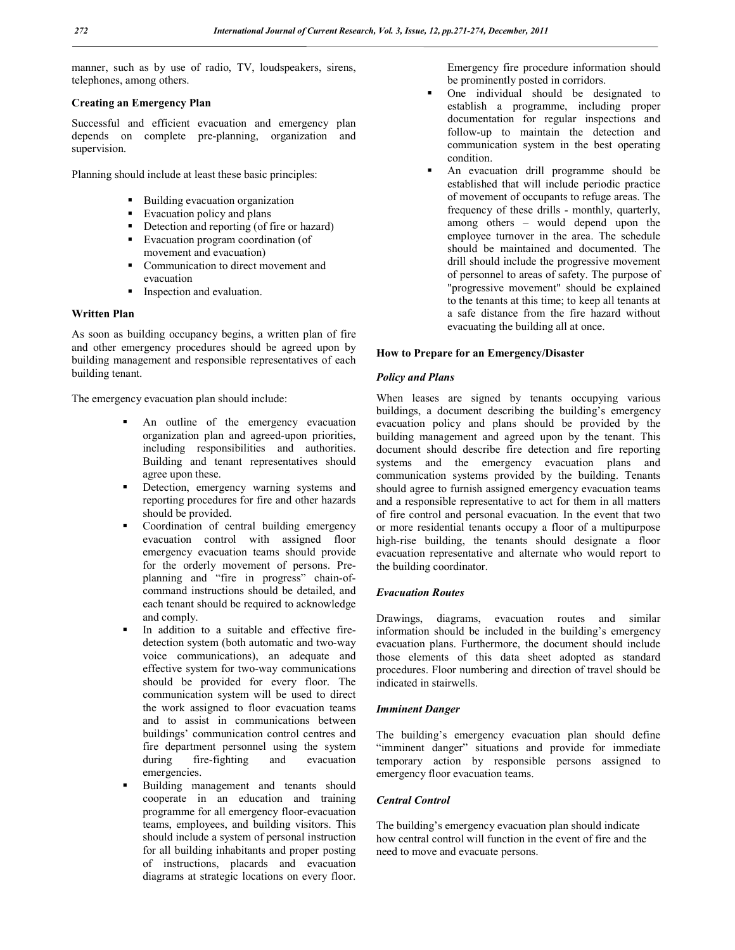manner, such as by use of radio, TV, loudspeakers, sirens, telephones, among others.

# **Creating an Emergency Plan**

Successful and efficient evacuation and emergency plan depends on complete pre-planning, organization and supervision.

Planning should include at least these basic principles:

- **Building evacuation organization**
- **Evacuation policy and plans**
- Detection and reporting (of fire or hazard)
- Evacuation program coordination (of movement and evacuation)
- Communication to direct movement and evacuation
- **Inspection and evaluation.**

# **Written Plan**

As soon as building occupancy begins, a written plan of fire and other emergency procedures should be agreed upon by building management and responsible representatives of each building tenant.

The emergency evacuation plan should include:

- An outline of the emergency evacuation organization plan and agreed-upon priorities, including responsibilities and authorities. Building and tenant representatives should agree upon these.
- Detection, emergency warning systems and reporting procedures for fire and other hazards should be provided.
- Coordination of central building emergency evacuation control with assigned floor emergency evacuation teams should provide for the orderly movement of persons. Preplanning and "fire in progress" chain-ofcommand instructions should be detailed, and each tenant should be required to acknowledge and comply.
- In addition to a suitable and effective firedetection system (both automatic and two-way voice communications), an adequate and effective system for two-way communications should be provided for every floor. The communication system will be used to direct the work assigned to floor evacuation teams and to assist in communications between buildings' communication control centres and fire department personnel using the system during fire-fighting and evacuation emergencies.
- Building management and tenants should cooperate in an education and training programme for all emergency floor-evacuation teams, employees, and building visitors. This should include a system of personal instruction for all building inhabitants and proper posting of instructions, placards and evacuation diagrams at strategic locations on every floor.

Emergency fire procedure information should be prominently posted in corridors.

- One individual should be designated to establish a programme, including proper documentation for regular inspections and follow-up to maintain the detection and communication system in the best operating condition.
- An evacuation drill programme should be established that will include periodic practice of movement of occupants to refuge areas. The frequency of these drills - monthly, quarterly, among others – would depend upon the employee turnover in the area. The schedule should be maintained and documented. The drill should include the progressive movement of personnel to areas of safety. The purpose of "progressive movement" should be explained to the tenants at this time; to keep all tenants at a safe distance from the fire hazard without evacuating the building all at once.

# **How to Prepare for an Emergency/Disaster**

## *Policy and Plans*

When leases are signed by tenants occupying various buildings, a document describing the building's emergency evacuation policy and plans should be provided by the building management and agreed upon by the tenant. This document should describe fire detection and fire reporting systems and the emergency evacuation plans and communication systems provided by the building. Tenants should agree to furnish assigned emergency evacuation teams and a responsible representative to act for them in all matters of fire control and personal evacuation. In the event that two or more residential tenants occupy a floor of a multipurpose high-rise building, the tenants should designate a floor evacuation representative and alternate who would report to the building coordinator.

#### *Evacuation Routes*

Drawings, diagrams, evacuation routes and similar information should be included in the building's emergency evacuation plans. Furthermore, the document should include those elements of this data sheet adopted as standard procedures. Floor numbering and direction of travel should be indicated in stairwells.

#### *Imminent Danger*

The building's emergency evacuation plan should define "imminent danger" situations and provide for immediate temporary action by responsible persons assigned to emergency floor evacuation teams.

# *Central Control*

The building's emergency evacuation plan should indicate how central control will function in the event of fire and the need to move and evacuate persons.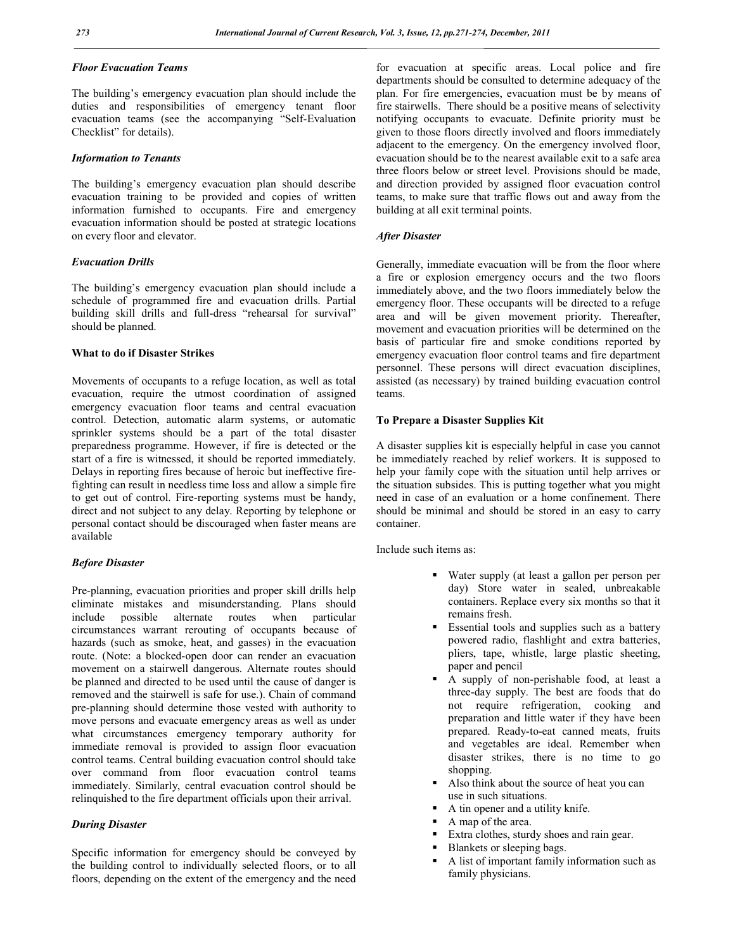# *Floor Evacuation Teams*

The building's emergency evacuation plan should include the duties and responsibilities of emergency tenant floor evacuation teams (see the accompanying "Self-Evaluation Checklist" for details).

#### *Information to Tenants*

The building's emergency evacuation plan should describe evacuation training to be provided and copies of written information furnished to occupants. Fire and emergency evacuation information should be posted at strategic locations on every floor and elevator.

#### *Evacuation Drills*

The building's emergency evacuation plan should include a schedule of programmed fire and evacuation drills. Partial building skill drills and full-dress "rehearsal for survival" should be planned.

#### **What to do if Disaster Strikes**

Movements of occupants to a refuge location, as well as total evacuation, require the utmost coordination of assigned emergency evacuation floor teams and central evacuation control. Detection, automatic alarm systems, or automatic sprinkler systems should be a part of the total disaster preparedness programme. However, if fire is detected or the start of a fire is witnessed, it should be reported immediately. Delays in reporting fires because of heroic but ineffective firefighting can result in needless time loss and allow a simple fire to get out of control. Fire-reporting systems must be handy, direct and not subject to any delay. Reporting by telephone or personal contact should be discouraged when faster means are available

#### *Before Disaster*

Pre-planning, evacuation priorities and proper skill drills help eliminate mistakes and misunderstanding. Plans should include possible alternate routes when particular circumstances warrant rerouting of occupants because of hazards (such as smoke, heat, and gasses) in the evacuation route. (Note: a blocked-open door can render an evacuation movement on a stairwell dangerous. Alternate routes should be planned and directed to be used until the cause of danger is removed and the stairwell is safe for use.). Chain of command pre-planning should determine those vested with authority to move persons and evacuate emergency areas as well as under what circumstances emergency temporary authority for immediate removal is provided to assign floor evacuation control teams. Central building evacuation control should take over command from floor evacuation control teams immediately. Similarly, central evacuation control should be relinquished to the fire department officials upon their arrival.

# *During Disaster*

Specific information for emergency should be conveyed by the building control to individually selected floors, or to all floors, depending on the extent of the emergency and the need

for evacuation at specific areas. Local police and fire departments should be consulted to determine adequacy of the plan. For fire emergencies, evacuation must be by means of fire stairwells. There should be a positive means of selectivity notifying occupants to evacuate. Definite priority must be given to those floors directly involved and floors immediately adjacent to the emergency. On the emergency involved floor, evacuation should be to the nearest available exit to a safe area three floors below or street level. Provisions should be made, and direction provided by assigned floor evacuation control teams, to make sure that traffic flows out and away from the building at all exit terminal points.

#### *After Disaster*

Generally, immediate evacuation will be from the floor where a fire or explosion emergency occurs and the two floors immediately above, and the two floors immediately below the emergency floor. These occupants will be directed to a refuge area and will be given movement priority. Thereafter, movement and evacuation priorities will be determined on the basis of particular fire and smoke conditions reported by emergency evacuation floor control teams and fire department personnel. These persons will direct evacuation disciplines, assisted (as necessary) by trained building evacuation control teams.

#### **To Prepare a Disaster Supplies Kit**

A disaster supplies kit is especially helpful in case you cannot be immediately reached by relief workers. It is supposed to help your family cope with the situation until help arrives or the situation subsides. This is putting together what you might need in case of an evaluation or a home confinement. There should be minimal and should be stored in an easy to carry container.

Include such items as:

- Water supply (at least a gallon per person per day) Store water in sealed, unbreakable containers. Replace every six months so that it remains fresh.
- Essential tools and supplies such as a battery powered radio, flashlight and extra batteries, pliers, tape, whistle, large plastic sheeting, paper and pencil
- A supply of non-perishable food, at least a three-day supply. The best are foods that do not require refrigeration, cooking and preparation and little water if they have been prepared. Ready-to-eat canned meats, fruits and vegetables are ideal. Remember when disaster strikes, there is no time to go shopping.
- Also think about the source of heat you can use in such situations.
- A tin opener and a utility knife.
- A map of the area.
- Extra clothes, sturdy shoes and rain gear.
- Blankets or sleeping bags.
- A list of important family information such as family physicians.